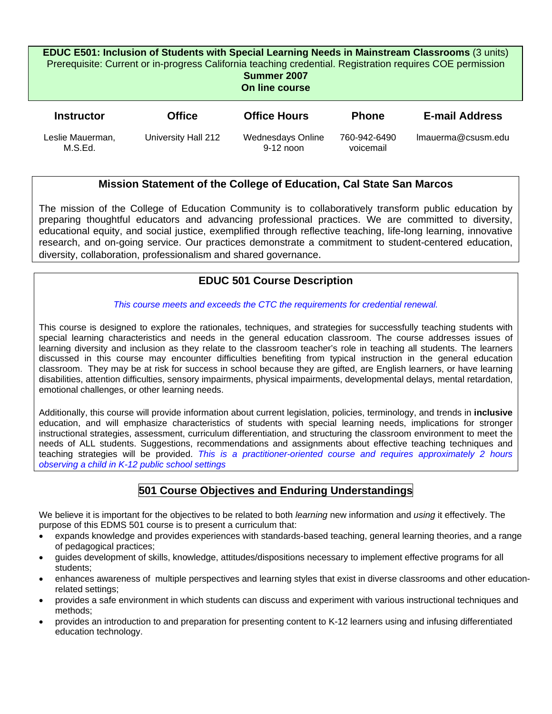#### **EDUC E501: Inclusion of Students with Special Learning Needs in Mainstream Classrooms** (3 units) Prerequisite: Current or in-progress California teaching credential. Registration requires COE permission

**Summer 2007** 

**On line course** 

| <b>Instructor</b>           | <b>Office</b>       | <b>Office Hours</b>              | <b>Phone</b>              | <b>E-mail Address</b> |
|-----------------------------|---------------------|----------------------------------|---------------------------|-----------------------|
| Leslie Mauerman,<br>M.S.Ed. | University Hall 212 | Wednesdays Online<br>$9-12$ noon | 760-942-6490<br>voicemail | Imauerma@csusm.edu    |

# **Mission Statement of the College of Education, Cal State San Marcos**

The mission of the College of Education Community is to collaboratively transform public education by preparing thoughtful educators and advancing professional practices. We are committed to diversity, educational equity, and social justice, exemplified through reflective teaching, life-long learning, innovative research, and on-going service. Our practices demonstrate a commitment to student-centered education, diversity, collaboration, professionalism and shared governance.

# **EDUC 501 Course Description**

### *This course meets and exceeds the CTC the requirements for credential renewal.*

This course is designed to explore the rationales, techniques, and strategies for successfully teaching students with special learning characteristics and needs in the general education classroom. The course addresses issues of learning diversity and inclusion as they relate to the classroom teacher's role in teaching all students. The learners discussed in this course may encounter difficulties benefiting from typical instruction in the general education classroom. They may be at risk for success in school because they are gifted, are English learners, or have learning disabilities, attention difficulties, sensory impairments, physical impairments, developmental delays, mental retardation, emotional challenges, or other learning needs.

Additionally, this course will provide information about current legislation, policies, terminology, and trends in **inclusive** education, and will emphasize characteristics of students with special learning needs, implications for stronger instructional strategies, assessment, curriculum differentiation, and structuring the classroom environment to meet the needs of ALL students. Suggestions, recommendations and assignments about effective teaching techniques and teaching strategies will be provided. *This is a practitioner-oriented course and requires approximately 2 hours observing a child in K-12 public school settings*

# **501 Course Objectives and Enduring Understandings**

We believe it is important for the objectives to be related to both *learning* new information and *using* it effectively. The purpose of this EDMS 501 course is to present a curriculum that:

- expands knowledge and provides experiences with standards-based teaching, general learning theories, and a range of pedagogical practices;
- guides development of skills, knowledge, attitudes/dispositions necessary to implement effective programs for all students;
- enhances awareness of multiple perspectives and learning styles that exist in diverse classrooms and other educationrelated settings;
- provides a safe environment in which students can discuss and experiment with various instructional techniques and methods;
- provides an introduction to and preparation for presenting content to K-12 learners using and infusing differentiated education technology.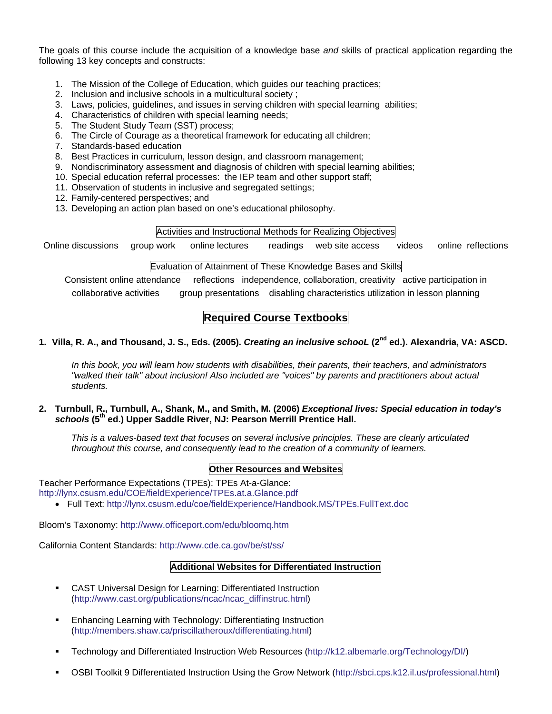The goals of this course include the acquisition of a knowledge base *and* skills of practical application regarding the following 13 key concepts and constructs:

- 1. The Mission of the College of Education, which guides our teaching practices;
- 2. Inclusion and inclusive schools in a multicultural society ;
- 3. Laws, policies, guidelines, and issues in serving children with special learning abilities;
- 4. Characteristics of children with special learning needs;
- 5. The Student Study Team (SST) process;
- 6. The Circle of Courage as a theoretical framework for educating all children;
- 7. Standards-based education
- 8. Best Practices in curriculum, lesson design, and classroom management;
- 9. Nondiscriminatory assessment and diagnosis of children with special learning abilities;
- 10. Special education referral processes: the IEP team and other support staff;
- 11. Observation of students in inclusive and segregated settings;
- 12. Family-centered perspectives; and
- 13. Developing an action plan based on one's educational philosophy.

#### Activities and Instructional Methods for Realizing Objectives

Online discussions group work online lectures readings web site access videos online reflections

#### Evaluation of Attainment of These Knowledge Bases and Skills

Consistent online attendance reflections independence, collaboration, creativity active participation in collaborative activities group presentations disabling characteristics utilization in lesson planning

# **Required Course Textbooks**

### **1. Villa, R. A., and Thousand, J. S., Eds. (2005).** *Creating an inclusive schooL* **(2nd ed.). Alexandria, VA: ASCD.**

*In this book, you will learn how students with disabilities, their parents, their teachers, and administrators "walked their talk" about inclusion! Also included are "voices" by parents and practitioners about actual students.* 

**2. Turnbull, R., Turnbull, A., Shank, M., and Smith, M. (2006)** *Exceptional lives: Special education in today's schools* **(5th ed.) Upper Saddle River, NJ: Pearson Merrill Prentice Hall.** 

*This is a values-based text that focuses on several inclusive principles. These are clearly articulated throughout this course, and consequently lead to the creation of a community of learners.* 

#### **Other Resources and Websites**

Teacher Performance Expectations (TPEs): TPEs At-a-Glance:

http://lynx.csusm.edu/COE/fieldExperience/TPEs.at.a.Glance.pdf

• Full Text: http://lynx.csusm.edu/coe/fieldExperience/Handbook.MS/TPEs.FullText.doc

Bloom's Taxonomy: http://www.officeport.com/edu/bloomq.htm

California Content Standards: http://www.cde.ca.gov/be/st/ss/

#### **Additional Websites for Differentiated Instruction**

- CAST Universal Design for Learning: Differentiated Instruction (http://www.cast.org/publications/ncac/ncac\_diffinstruc.html)
- **Enhancing Learning with Technology: Differentiating Instruction** (http://members.shaw.ca/priscillatheroux/differentiating.html)
- Technology and Differentiated Instruction Web Resources (http://k12.albemarle.org/Technology/DI/)
- OSBI Toolkit 9 Differentiated Instruction Using the Grow Network (http://sbci.cps.k12.il.us/professional.html)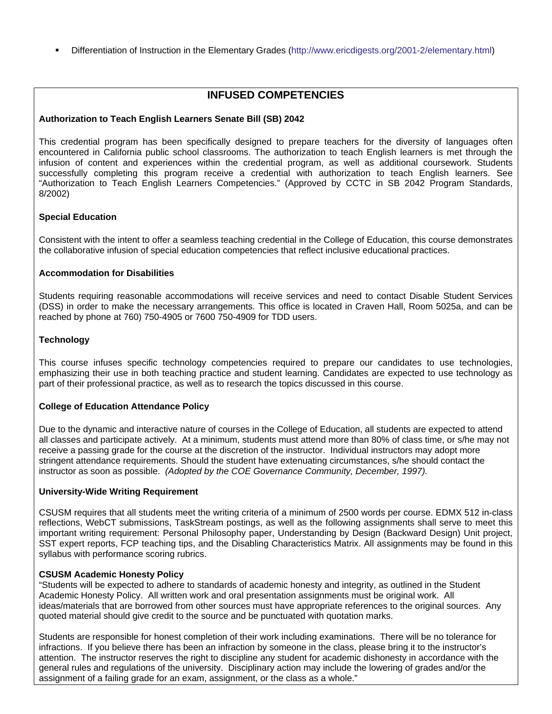Differentiation of Instruction in the Elementary Grades (http://www.ericdigests.org/2001-2/elementary.html)

### **INFUSED COMPETENCIES**

### **Authorization to Teach English Learners Senate Bill (SB) 2042**

This credential program has been specifically designed to prepare teachers for the diversity of languages often encountered in California public school classrooms. The authorization to teach English learners is met through the infusion of content and experiences within the credential program, as well as additional coursework. Students successfully completing this program receive a credential with authorization to teach English learners. See "Authorization to Teach English Learners Competencies." (Approved by CCTC in SB 2042 Program Standards, 8/2002)

#### **Special Education**

Consistent with the intent to offer a seamless teaching credential in the College of Education, this course demonstrates the collaborative infusion of special education competencies that reflect inclusive educational practices.

#### **Accommodation for Disabilities**

Students requiring reasonable accommodations will receive services and need to contact Disable Student Services (DSS) in order to make the necessary arrangements. This office is located in Craven Hall, Room 5025a, and can be reached by phone at 760) 750-4905 or 7600 750-4909 for TDD users.

#### **Technology**

This course infuses specific technology competencies required to prepare our candidates to use technologies, emphasizing their use in both teaching practice and student learning. Candidates are expected to use technology as part of their professional practice, as well as to research the topics discussed in this course.

#### **College of Education Attendance Policy**

Due to the dynamic and interactive nature of courses in the College of Education, all students are expected to attend all classes and participate actively. At a minimum, students must attend more than 80% of class time, or s/he may not receive a passing grade for the course at the discretion of the instructor. Individual instructors may adopt more stringent attendance requirements. Should the student have extenuating circumstances, s/he should contact the instructor as soon as possible. *(Adopted by the COE Governance Community, December, 1997).*

#### **University-Wide Writing Requirement**

CSUSM requires that all students meet the writing criteria of a minimum of 2500 words per course. EDMX 512 in-class reflections, WebCT submissions, TaskStream postings, as well as the following assignments shall serve to meet this important writing requirement: Personal Philosophy paper, Understanding by Design (Backward Design) Unit project, SST expert reports, FCP teaching tips, and the Disabling Characteristics Matrix. All assignments may be found in this syllabus with performance scoring rubrics.

#### **CSUSM Academic Honesty Policy**

"Students will be expected to adhere to standards of academic honesty and integrity, as outlined in the Student Academic Honesty Policy. All written work and oral presentation assignments must be original work. All ideas/materials that are borrowed from other sources must have appropriate references to the original sources. Any quoted material should give credit to the source and be punctuated with quotation marks.

Students are responsible for honest completion of their work including examinations. There will be no tolerance for infractions. If you believe there has been an infraction by someone in the class, please bring it to the instructor's attention. The instructor reserves the right to discipline any student for academic dishonesty in accordance with the general rules and regulations of the university. Disciplinary action may include the lowering of grades and/or the assignment of a failing grade for an exam, assignment, or the class as a whole."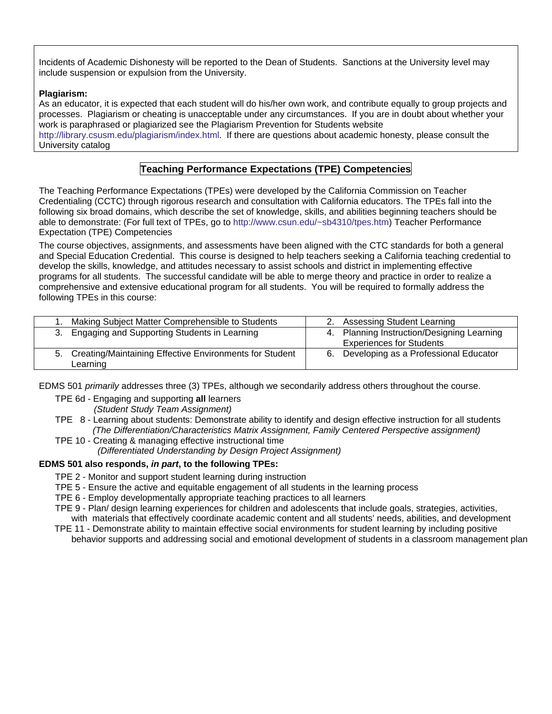Incidents of Academic Dishonesty will be reported to the Dean of Students. Sanctions at the University level may include suspension or expulsion from the University.

#### **Plagiarism:**

As an educator, it is expected that each student will do his/her own work, and contribute equally to group projects and processes. Plagiarism or cheating is unacceptable under any circumstances. If you are in doubt about whether your work is paraphrased or plagiarized see the Plagiarism Prevention for Students website

http://library.csusm.edu/plagiarism/index.html. If there are questions about academic honesty, please consult the University catalog

### **Teaching Performance Expectations (TPE) Competencies**

The Teaching Performance Expectations (TPEs) were developed by the California Commission on Teacher Credentialing (CCTC) through rigorous research and consultation with California educators. The TPEs fall into the following six broad domains, which describe the set of knowledge, skills, and abilities beginning teachers should be able to demonstrate: (For full text of TPEs, go to http://www.csun.edu/~sb4310/tpes.htm) Teacher Performance Expectation (TPE) Competencies

The course objectives, assignments, and assessments have been aligned with the CTC standards for both a general and Special Education Credential. This course is designed to help teachers seeking a California teaching credential to develop the skills, knowledge, and attitudes necessary to assist schools and district in implementing effective programs for all students. The successful candidate will be able to merge theory and practice in order to realize a comprehensive and extensive educational program for all students. You will be required to formally address the following TPEs in this course:

| 1. Making Subject Matter Comprehensible to Students                    | 2. Assessing Student Learning                                                 |
|------------------------------------------------------------------------|-------------------------------------------------------------------------------|
| 3. Engaging and Supporting Students in Learning                        | 4. Planning Instruction/Designing Learning<br><b>Experiences for Students</b> |
| 5. Creating/Maintaining Effective Environments for Student<br>Learning | 6. Developing as a Professional Educator                                      |

EDMS 501 *primarily* addresses three (3) TPEs, although we secondarily address others throughout the course.

TPE 6d - Engaging and supporting **all** learners

 *(Student Study Team Assignment)* 

TPE 8 - Learning about students: Demonstrate ability to identify and design effective instruction for all students  *(The Differentiation/Characteristics Matrix Assignment, Family Centered Perspective assignment)* 

TPE 10 - Creating & managing effective instructional time

 *(Differentiated Understanding by Design Project Assignment)*

#### **EDMS 501 also responds,** *in part***, to the following TPEs:**

- TPE 2 Monitor and support student learning during instruction
- TPE 5 Ensure the active and equitable engagement of all students in the learning process
- TPE 6 Employ developmentally appropriate teaching practices to all learners
- TPE 9 Plan/ design learning experiences for children and adolescents that include goals, strategies, activities, with materials that effectively coordinate academic content and all students' needs, abilities, and development
- TPE 11 Demonstrate ability to maintain effective social environments for student learning by including positive behavior supports and addressing social and emotional development of students in a classroom management plan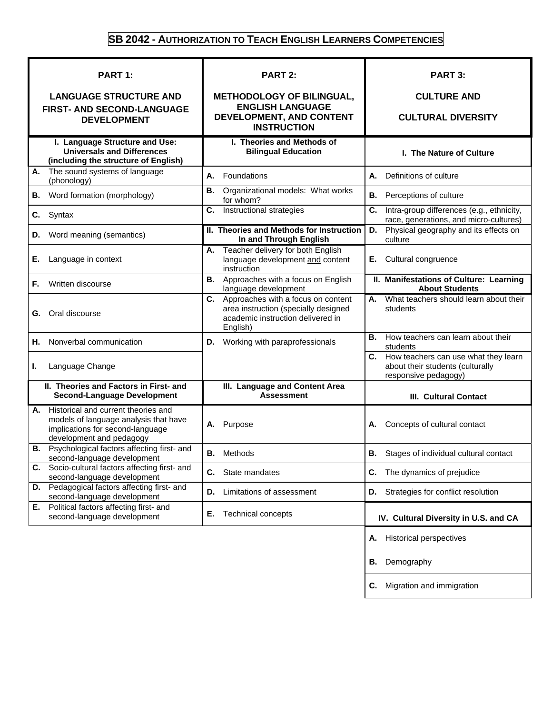# **SB 2042 - AUTHORIZATION TO TEACH ENGLISH LEARNERS COMPETENCIES**

| <b>PART 1:</b>                                                                                                                                     | <b>PART 2:</b>                                                                                                                    | PART 3:                                                                                             |  |
|----------------------------------------------------------------------------------------------------------------------------------------------------|-----------------------------------------------------------------------------------------------------------------------------------|-----------------------------------------------------------------------------------------------------|--|
| <b>LANGUAGE STRUCTURE AND</b>                                                                                                                      | <b>METHODOLOGY OF BILINGUAL,</b>                                                                                                  | <b>CULTURE AND</b>                                                                                  |  |
| <b>FIRST- AND SECOND-LANGUAGE</b><br><b>DEVELOPMENT</b>                                                                                            | <b>ENGLISH LANGUAGE</b><br>DEVELOPMENT, AND CONTENT<br><b>INSTRUCTION</b>                                                         | <b>CULTURAL DIVERSITY</b>                                                                           |  |
| I. Language Structure and Use:<br><b>Universals and Differences</b><br>(including the structure of English)                                        | I. Theories and Methods of<br><b>Bilingual Education</b>                                                                          | I. The Nature of Culture                                                                            |  |
| The sound systems of language<br>Α.<br>(phonology)                                                                                                 | А.<br>Foundations                                                                                                                 | Definitions of culture<br>А.                                                                        |  |
| Word formation (morphology)<br>В.                                                                                                                  | Organizational models: What works<br>В.<br>for whom?                                                                              | Perceptions of culture<br>В.                                                                        |  |
| Syntax<br>С.                                                                                                                                       | Instructional strategies<br>C.                                                                                                    | C.<br>Intra-group differences (e.g., ethnicity,<br>race, generations, and micro-cultures)           |  |
| Word meaning (semantics)<br>D.                                                                                                                     | II. Theories and Methods for Instruction<br>In and Through English                                                                | Physical geography and its effects on<br>D.<br>culture                                              |  |
| Е.<br>Language in context                                                                                                                          | Teacher delivery for both English<br>А.<br>language development and content<br>instruction                                        | Cultural congruence<br>Е.                                                                           |  |
| Written discourse<br>F.                                                                                                                            | Approaches with a focus on English<br>В.<br>language development                                                                  | II. Manifestations of Culture: Learning<br><b>About Students</b>                                    |  |
| Oral discourse<br>G.                                                                                                                               | Approaches with a focus on content<br>C.<br>area instruction (specially designed<br>academic instruction delivered in<br>English) | What teachers should learn about their<br>А.<br>students                                            |  |
| Nonverbal communication<br>Н.                                                                                                                      | Working with paraprofessionals<br>D.                                                                                              | How teachers can learn about their<br>В.<br>students                                                |  |
| Language Change<br>ı.                                                                                                                              |                                                                                                                                   | C. How teachers can use what they learn<br>about their students (culturally<br>responsive pedagogy) |  |
| II. Theories and Factors in First- and<br><b>Second-Language Development</b>                                                                       | III. Language and Content Area<br><b>Assessment</b>                                                                               | <b>III. Cultural Contact</b>                                                                        |  |
| Historical and current theories and<br>А.<br>models of language analysis that have<br>implications for second-language<br>development and pedagogy | Purpose<br>А.                                                                                                                     | Concepts of cultural contact<br>А.                                                                  |  |
| Psychological factors affecting first- and<br>В.<br>second-language development                                                                    | Methods<br>В.                                                                                                                     | В.<br>Stages of individual cultural contact                                                         |  |
| C. Socio-cultural factors affecting first- and<br>second-language development                                                                      | C.<br>State mandates                                                                                                              | The dynamics of prejudice<br>C.                                                                     |  |
| <b>D.</b> Pedagogical factors affecting first- and<br>second-language development                                                                  | Limitations of assessment<br>D.                                                                                                   | Strategies for conflict resolution<br>D.                                                            |  |
| E. Political factors affecting first- and<br>second-language development                                                                           | <b>Technical concepts</b><br>Е.                                                                                                   | IV. Cultural Diversity in U.S. and CA                                                               |  |
|                                                                                                                                                    |                                                                                                                                   | <b>Historical perspectives</b><br>Α.                                                                |  |
|                                                                                                                                                    |                                                                                                                                   | Demography<br>В.                                                                                    |  |
|                                                                                                                                                    |                                                                                                                                   | Migration and immigration<br>С.                                                                     |  |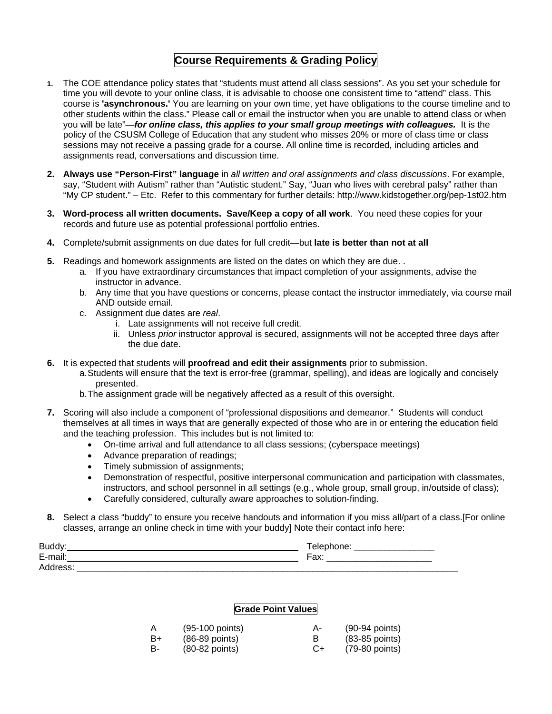### **Course Requirements & Grading Policy**

- **1.** The COE attendance policy states that "students must attend all class sessions". As you set your schedule for time you will devote to your online class, it is advisable to choose one consistent time to "attend" class. This course is **'asynchronous.'** You are learning on your own time, yet have obligations to the course timeline and to other students within the class." Please call or email the instructor when you are unable to attend class or when you will be late"—*for online class, this applies to your small group meetings with colleagues.* It is the policy of the CSUSM College of Education that any student who misses 20% or more of class time or class sessions may not receive a passing grade for a course. All online time is recorded, including articles and assignments read, conversations and discussion time.
- **2. Always use "Person-First" language** in *all written and oral assignments and class discussions*. For example, say, "Student with Autism" rather than "Autistic student." Say, "Juan who lives with cerebral palsy" rather than "My CP student." – Etc. Refer to this commentary for further details: http://www.kidstogether.org/pep-1st02.htm
- **3. Word-process all written documents. Save/Keep a copy of all work**. You need these copies for your records and future use as potential professional portfolio entries.
- **4.** Complete/submit assignments on due dates for full credit—but **late is better than not at all**
- **5.** Readings and homework assignments are listed on the dates on which they are due. .
	- a. If you have extraordinary circumstances that impact completion of your assignments, advise the instructor in advance.
	- b. Any time that you have questions or concerns, please contact the instructor immediately, via course mail AND outside email.
	- c. Assignment due dates are *real*.
		- i. Late assignments will not receive full credit.
		- ii. Unless *prior* instructor approval is secured, assignments will not be accepted three days after the due date.
- **6.** It is expected that students will **proofread and edit their assignments** prior to submission.
	- a. Students will ensure that the text is error-free (grammar, spelling), and ideas are logically and concisely presented.
	- b. The assignment grade will be negatively affected as a result of this oversight.
- **7.** Scoring will also include a component of "professional dispositions and demeanor." Students will conduct themselves at all times in ways that are generally expected of those who are in or entering the education field and the teaching profession. This includes but is not limited to:
	- On-time arrival and full attendance to all class sessions; (cyberspace meetings)
	- Advance preparation of readings;
	- Timely submission of assignments;
	- Demonstration of respectful, positive interpersonal communication and participation with classmates, instructors, and school personnel in all settings (e.g., whole group, small group, in/outside of class);
	- Carefully considered, culturally aware approaches to solution-finding.
- **8.** Select a class "buddy" to ensure you receive handouts and information if you miss all/part of a class.[For online classes, arrange an online check in time with your buddy] Note their contact info here:

| Rı                            |                   |
|-------------------------------|-------------------|
| $\overline{\phantom{0}}$<br>- | $ -$<br>un.<br>__ |
| Λ                             |                   |

#### **Grade Point Values**

| Α  | (95-100 points)  | А- | $(90-94$ points) |
|----|------------------|----|------------------|
| B+ | $(86-89$ points) |    | $(83-85$ points) |
| в- | $(80-82$ points) | C+ | (79-80 points)   |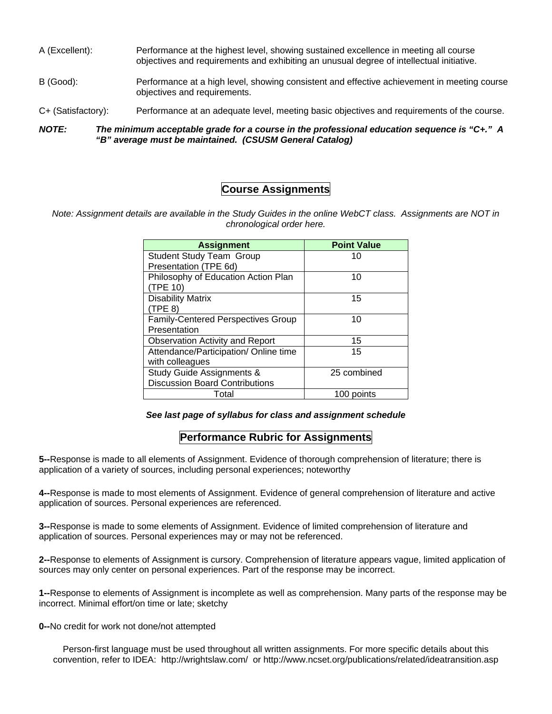- A (Excellent): Performance at the highest level, showing sustained excellence in meeting all course objectives and requirements and exhibiting an unusual degree of intellectual initiative.
- B (Good): Performance at a high level, showing consistent and effective achievement in meeting course objectives and requirements.
- C+ (Satisfactory): Performance at an adequate level, meeting basic objectives and requirements of the course.

*NOTE: The minimum acceptable grade for a course in the professional education sequence is "C+." A "B" average must be maintained. (CSUSM General Catalog)* 

### **Course Assignments**

*Note: Assignment details are available in the Study Guides in the online WebCT class. Assignments are NOT in chronological order here.* 

| <b>Assignment</b>                         | <b>Point Value</b> |
|-------------------------------------------|--------------------|
| <b>Student Study Team Group</b>           | 10                 |
| Presentation (TPE 6d)                     |                    |
| Philosophy of Education Action Plan       | 10                 |
| (TPE 10)                                  |                    |
| <b>Disability Matrix</b>                  | 15                 |
| (TPE 8)                                   |                    |
| <b>Family-Centered Perspectives Group</b> | 10                 |
| Presentation                              |                    |
| <b>Observation Activity and Report</b>    | 15                 |
| Attendance/Participation/ Online time     | 15                 |
| with colleagues                           |                    |
| Study Guide Assignments &                 | 25 combined        |
| <b>Discussion Board Contributions</b>     |                    |
| Total                                     | 100 points         |

*See last page of syllabus for class and assignment schedule* 

### **Performance Rubric for Assignments**

**5--**Response is made to all elements of Assignment. Evidence of thorough comprehension of literature; there is application of a variety of sources, including personal experiences; noteworthy

**4--**Response is made to most elements of Assignment. Evidence of general comprehension of literature and active application of sources. Personal experiences are referenced.

**3--**Response is made to some elements of Assignment. Evidence of limited comprehension of literature and application of sources. Personal experiences may or may not be referenced.

**2--**Response to elements of Assignment is cursory. Comprehension of literature appears vague, limited application of sources may only center on personal experiences. Part of the response may be incorrect.

**1--**Response to elements of Assignment is incomplete as well as comprehension. Many parts of the response may be incorrect. Minimal effort/on time or late; sketchy

#### **0--**No credit for work not done/not attempted

Person-first language must be used throughout all written assignments. For more specific details about this convention, refer to IDEA: http://wrightslaw.com/ or http://www.ncset.org/publications/related/ideatransition.asp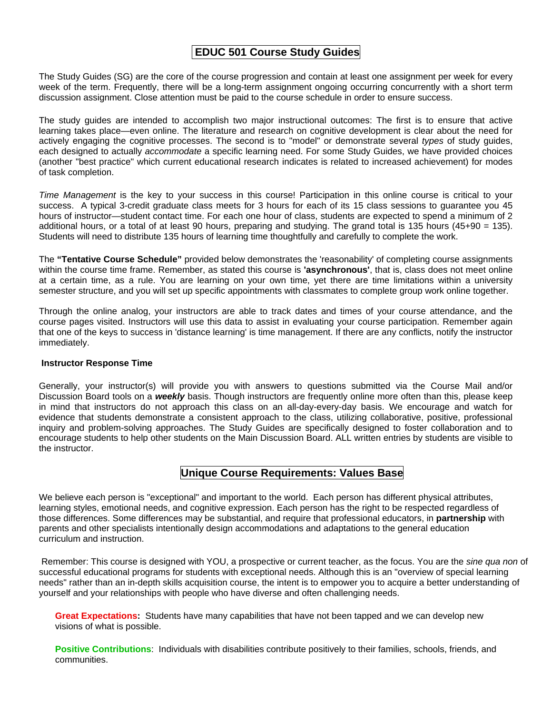### **EDUC 501 Course Study Guides**

The Study Guides (SG) are the core of the course progression and contain at least one assignment per week for every week of the term. Frequently, there will be a long-term assignment ongoing occurring concurrently with a short term discussion assignment. Close attention must be paid to the course schedule in order to ensure success.

The study guides are intended to accomplish two major instructional outcomes: The first is to ensure that active learning takes place—even online. The literature and research on cognitive development is clear about the need for actively engaging the cognitive processes. The second is to "model" or demonstrate several *types* of study guides, each designed to actually *accommodate* a specific learning need. For some Study Guides, we have provided choices (another "best practice" which current educational research indicates is related to increased achievement) for modes of task completion.

*Time Management* is the key to your success in this course! Participation in this online course is critical to your success. A typical 3-credit graduate class meets for 3 hours for each of its 15 class sessions to guarantee you 45 hours of instructor—student contact time. For each one hour of class, students are expected to spend a minimum of 2 additional hours, or a total of at least 90 hours, preparing and studying. The grand total is 135 hours (45+90 = 135). Students will need to distribute 135 hours of learning time thoughtfully and carefully to complete the work.

The **"Tentative Course Schedule"** provided below demonstrates the 'reasonability' of completing course assignments within the course time frame. Remember, as stated this course is **'asynchronous'**, that is, class does not meet online at a certain time, as a rule. You are learning on your own time, yet there are time limitations within a university semester structure, and you will set up specific appointments with classmates to complete group work online together.

Through the online analog, your instructors are able to track dates and times of your course attendance, and the course pages visited. Instructors will use this data to assist in evaluating your course participation. Remember again that one of the keys to success in 'distance learning' is time management. If there are any conflicts, notify the instructor immediately.

#### **Instructor Response Time**

Generally, your instructor(s) will provide you with answers to questions submitted via the Course Mail and/or Discussion Board tools on a *weekly* basis. Though instructors are frequently online more often than this, please keep in mind that instructors do not approach this class on an all-day-every-day basis. We encourage and watch for evidence that students demonstrate a consistent approach to the class, utilizing collaborative, positive, professional inquiry and problem-solving approaches. The Study Guides are specifically designed to foster collaboration and to encourage students to help other students on the Main Discussion Board. ALL written entries by students are visible to the instructor.

# **Unique Course Requirements: Values Base**

We believe each person is "exceptional" and important to the world. Each person has different physical attributes, learning styles, emotional needs, and cognitive expression. Each person has the right to be respected regardless of those differences. Some differences may be substantial, and require that professional educators, in **partnership** with parents and other specialists intentionally design accommodations and adaptations to the general education curriculum and instruction.

Remember: This course is designed with YOU, a prospective or current teacher, as the focus. You are the *sine qua non* of successful educational programs for students with exceptional needs. Although this is an "overview of special learning needs" rather than an in-depth skills acquisition course, the intent is to empower you to acquire a better understanding of yourself and your relationships with people who have diverse and often challenging needs.

**Great Expectations:** Students have many capabilities that have not been tapped and we can develop new visions of what is possible.

**Positive Contributions**: Individuals with disabilities contribute positively to their families, schools, friends, and communities.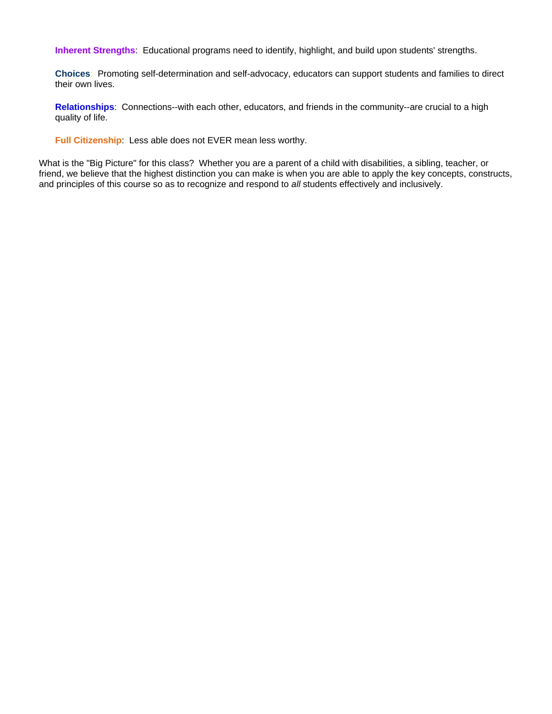**Inherent Strengths**: Educational programs need to identify, highlight, and build upon students' strengths.

**Choices**: Promoting self-determination and self-advocacy, educators can support students and families to direct their own lives.

**Relationships**: Connections--with each other, educators, and friends in the community--are crucial to a high quality of life.

**Full Citizenship**: Less able does not EVER mean less worthy.

What is the "Big Picture" for this class? Whether you are a parent of a child with disabilities, a sibling, teacher, or friend, we believe that the highest distinction you can make is when you are able to apply the key concepts, constructs, and principles of this course so as to recognize and respond to *all* students effectively and inclusively.